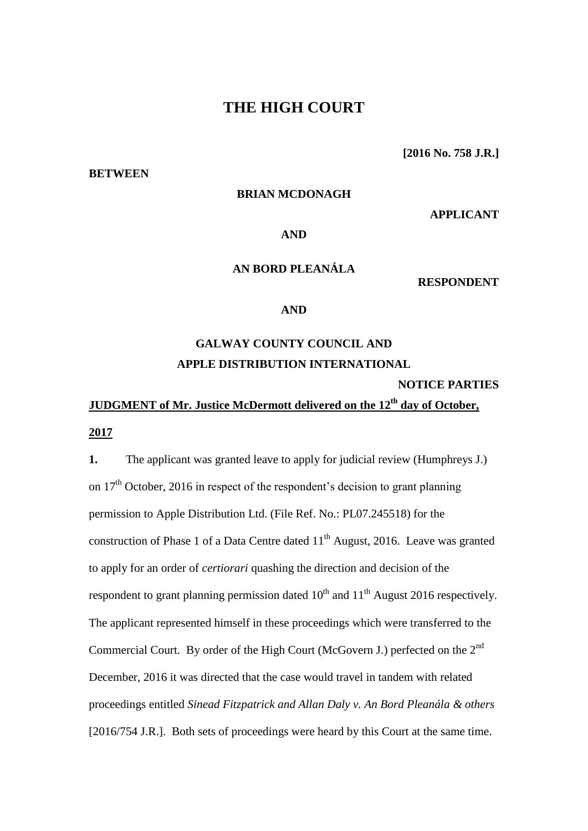### **THE HIGH COURT**

**BETWEEN**

**[2016 No. 758 J.R.]**

### **BRIAN MCDONAGH**

**APPLICANT**

### **AND**

### **AN BORD PLEANÁLA**

**RESPONDENT**

### **AND**

## **GALWAY COUNTY COUNCIL AND APPLE DISTRIBUTION INTERNATIONAL**

**NOTICE PARTIES**

# **JUDGMENT of Mr. Justice McDermott delivered on the 12th day of October,**

### **2017**

**1.** The applicant was granted leave to apply for judicial review (Humphreys J.) on  $17<sup>th</sup>$  October, 2016 in respect of the respondent's decision to grant planning permission to Apple Distribution Ltd. (File Ref. No.: PL07.245518) for the construction of Phase 1 of a Data Centre dated  $11<sup>th</sup>$  August, 2016. Leave was granted to apply for an order of *certiorari* quashing the direction and decision of the respondent to grant planning permission dated  $10^{th}$  and  $11^{th}$  August 2016 respectively. The applicant represented himself in these proceedings which were transferred to the Commercial Court. By order of the High Court (McGovern J.) perfected on the 2nd December, 2016 it was directed that the case would travel in tandem with related proceedings entitled *Sinead Fitzpatrick and Allan Daly v. An Bord Pleanála & others* [2016/754 J.R.]. Both sets of proceedings were heard by this Court at the same time.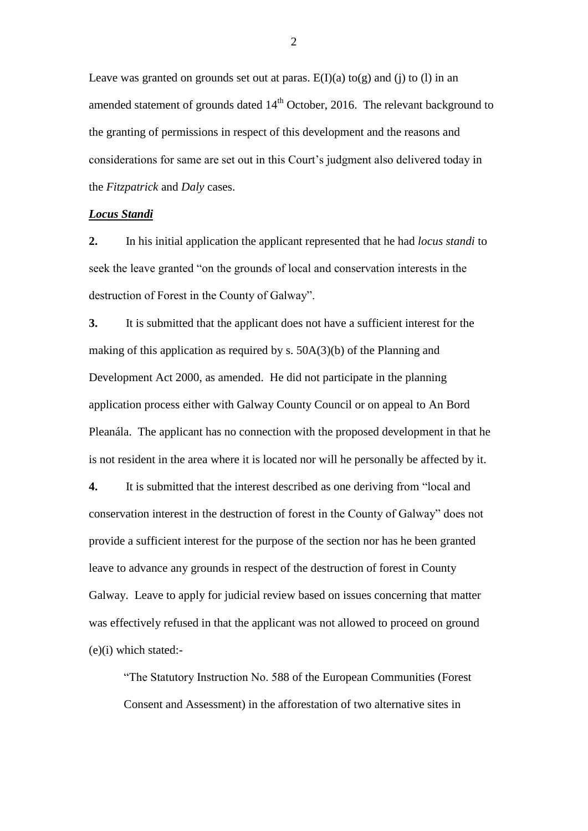Leave was granted on grounds set out at paras.  $E(I)(a)$  to(g) and (j) to (l) in an amended statement of grounds dated  $14<sup>th</sup>$  October, 2016. The relevant background to the granting of permissions in respect of this development and the reasons and considerations for same are set out in this Court's judgment also delivered today in the *Fitzpatrick* and *Daly* cases.

### *Locus Standi*

**2.** In his initial application the applicant represented that he had *locus standi* to seek the leave granted "on the grounds of local and conservation interests in the destruction of Forest in the County of Galway".

**3.** It is submitted that the applicant does not have a sufficient interest for the making of this application as required by s. 50A(3)(b) of the Planning and Development Act 2000, as amended. He did not participate in the planning application process either with Galway County Council or on appeal to An Bord Pleanála. The applicant has no connection with the proposed development in that he is not resident in the area where it is located nor will he personally be affected by it.

**4.** It is submitted that the interest described as one deriving from "local and conservation interest in the destruction of forest in the County of Galway" does not provide a sufficient interest for the purpose of the section nor has he been granted leave to advance any grounds in respect of the destruction of forest in County Galway. Leave to apply for judicial review based on issues concerning that matter was effectively refused in that the applicant was not allowed to proceed on ground (e)(i) which stated:-

"The Statutory Instruction No. 588 of the European Communities (Forest Consent and Assessment) in the afforestation of two alternative sites in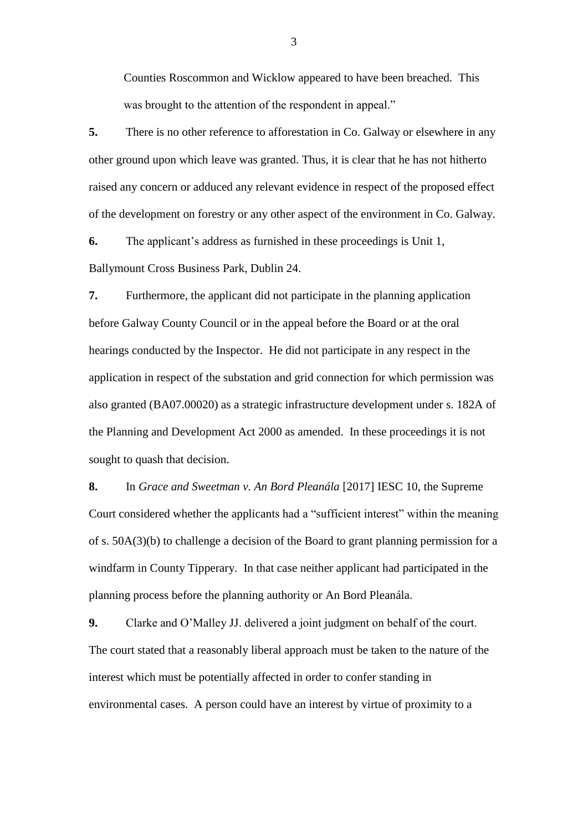Counties Roscommon and Wicklow appeared to have been breached. This was brought to the attention of the respondent in appeal."

**5.** There is no other reference to afforestation in Co. Galway or elsewhere in any other ground upon which leave was granted. Thus, it is clear that he has not hitherto raised any concern or adduced any relevant evidence in respect of the proposed effect of the development on forestry or any other aspect of the environment in Co. Galway.

**6.** The applicant's address as furnished in these proceedings is Unit 1, Ballymount Cross Business Park, Dublin 24.

**7.** Furthermore, the applicant did not participate in the planning application before Galway County Council or in the appeal before the Board or at the oral hearings conducted by the Inspector. He did not participate in any respect in the application in respect of the substation and grid connection for which permission was also granted (BA07.00020) as a strategic infrastructure development under s. 182A of the Planning and Development Act 2000 as amended. In these proceedings it is not sought to quash that decision.

**8.** In *Grace and Sweetman v. An Bord Pleanála* [2017] IESC 10, the Supreme Court considered whether the applicants had a "sufficient interest" within the meaning of s. 50A(3)(b) to challenge a decision of the Board to grant planning permission for a windfarm in County Tipperary. In that case neither applicant had participated in the planning process before the planning authority or An Bord Pleanála.

**9.** Clarke and O'Malley JJ. delivered a joint judgment on behalf of the court. The court stated that a reasonably liberal approach must be taken to the nature of the interest which must be potentially affected in order to confer standing in environmental cases. A person could have an interest by virtue of proximity to a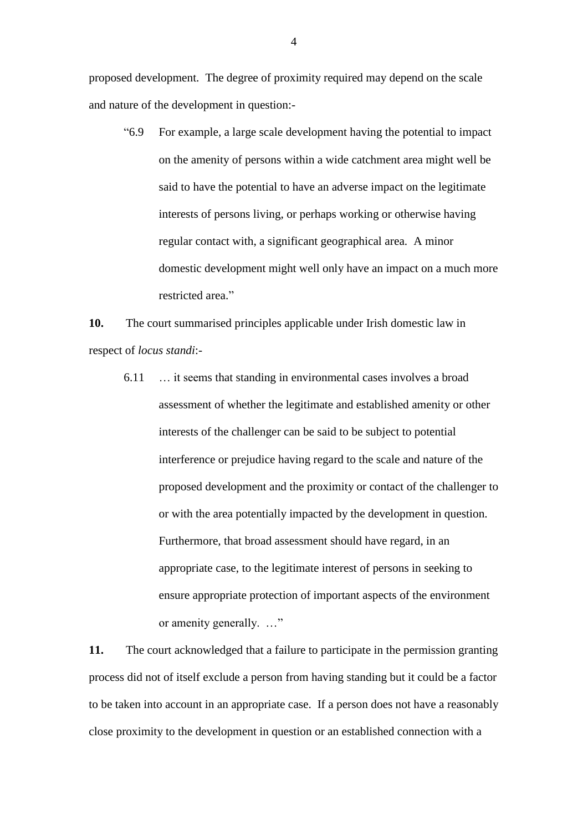proposed development. The degree of proximity required may depend on the scale and nature of the development in question:-

"6.9 For example, a large scale development having the potential to impact on the amenity of persons within a wide catchment area might well be said to have the potential to have an adverse impact on the legitimate interests of persons living, or perhaps working or otherwise having regular contact with, a significant geographical area. A minor domestic development might well only have an impact on a much more restricted area."

**10.** The court summarised principles applicable under Irish domestic law in respect of *locus standi*:-

6.11 … it seems that standing in environmental cases involves a broad assessment of whether the legitimate and established amenity or other interests of the challenger can be said to be subject to potential interference or prejudice having regard to the scale and nature of the proposed development and the proximity or contact of the challenger to or with the area potentially impacted by the development in question. Furthermore, that broad assessment should have regard, in an appropriate case, to the legitimate interest of persons in seeking to ensure appropriate protection of important aspects of the environment or amenity generally. …"

**11.** The court acknowledged that a failure to participate in the permission granting process did not of itself exclude a person from having standing but it could be a factor to be taken into account in an appropriate case. If a person does not have a reasonably close proximity to the development in question or an established connection with a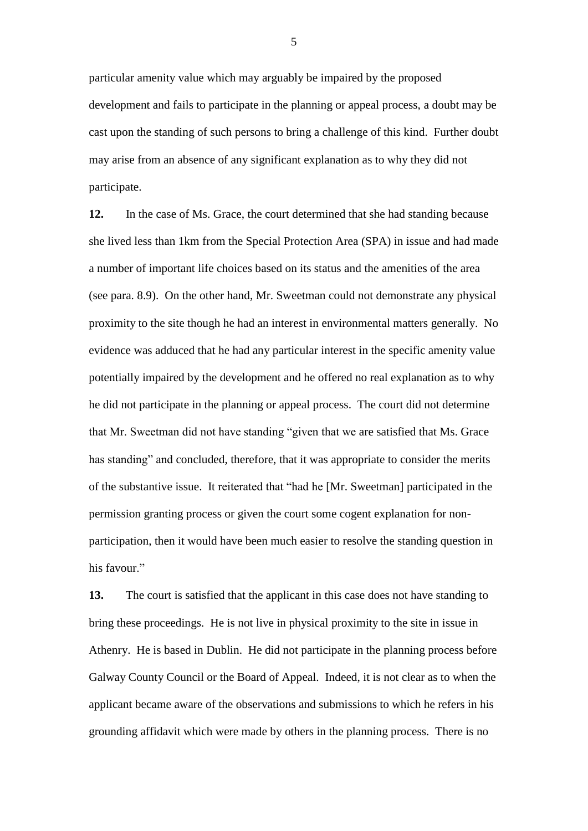particular amenity value which may arguably be impaired by the proposed development and fails to participate in the planning or appeal process, a doubt may be cast upon the standing of such persons to bring a challenge of this kind. Further doubt may arise from an absence of any significant explanation as to why they did not participate.

**12.** In the case of Ms. Grace, the court determined that she had standing because she lived less than 1km from the Special Protection Area (SPA) in issue and had made a number of important life choices based on its status and the amenities of the area (see para. 8.9). On the other hand, Mr. Sweetman could not demonstrate any physical proximity to the site though he had an interest in environmental matters generally. No evidence was adduced that he had any particular interest in the specific amenity value potentially impaired by the development and he offered no real explanation as to why he did not participate in the planning or appeal process. The court did not determine that Mr. Sweetman did not have standing "given that we are satisfied that Ms. Grace has standing" and concluded, therefore, that it was appropriate to consider the merits of the substantive issue. It reiterated that "had he [Mr. Sweetman] participated in the permission granting process or given the court some cogent explanation for nonparticipation, then it would have been much easier to resolve the standing question in his favour."

**13.** The court is satisfied that the applicant in this case does not have standing to bring these proceedings. He is not live in physical proximity to the site in issue in Athenry. He is based in Dublin. He did not participate in the planning process before Galway County Council or the Board of Appeal. Indeed, it is not clear as to when the applicant became aware of the observations and submissions to which he refers in his grounding affidavit which were made by others in the planning process. There is no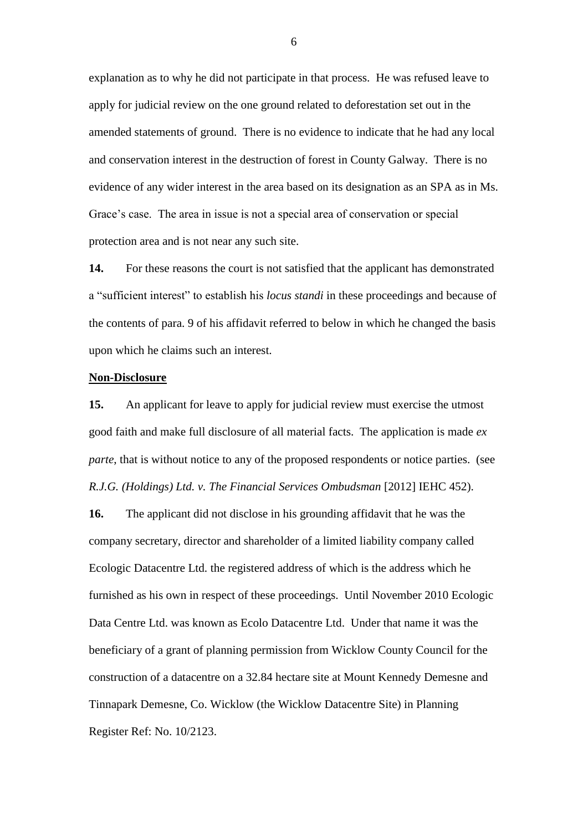explanation as to why he did not participate in that process. He was refused leave to apply for judicial review on the one ground related to deforestation set out in the amended statements of ground. There is no evidence to indicate that he had any local and conservation interest in the destruction of forest in County Galway. There is no evidence of any wider interest in the area based on its designation as an SPA as in Ms. Grace's case. The area in issue is not a special area of conservation or special protection area and is not near any such site.

**14.** For these reasons the court is not satisfied that the applicant has demonstrated a "sufficient interest" to establish his *locus standi* in these proceedings and because of the contents of para. 9 of his affidavit referred to below in which he changed the basis upon which he claims such an interest.

### **Non-Disclosure**

**15.** An applicant for leave to apply for judicial review must exercise the utmost good faith and make full disclosure of all material facts. The application is made *ex parte*, that is without notice to any of the proposed respondents or notice parties. (see *R.J.G. (Holdings) Ltd. v. The Financial Services Ombudsman* [2012] IEHC 452).

**16.** The applicant did not disclose in his grounding affidavit that he was the company secretary, director and shareholder of a limited liability company called Ecologic Datacentre Ltd. the registered address of which is the address which he furnished as his own in respect of these proceedings. Until November 2010 Ecologic Data Centre Ltd. was known as Ecolo Datacentre Ltd. Under that name it was the beneficiary of a grant of planning permission from Wicklow County Council for the construction of a datacentre on a 32.84 hectare site at Mount Kennedy Demesne and Tinnapark Demesne, Co. Wicklow (the Wicklow Datacentre Site) in Planning Register Ref: No. 10/2123.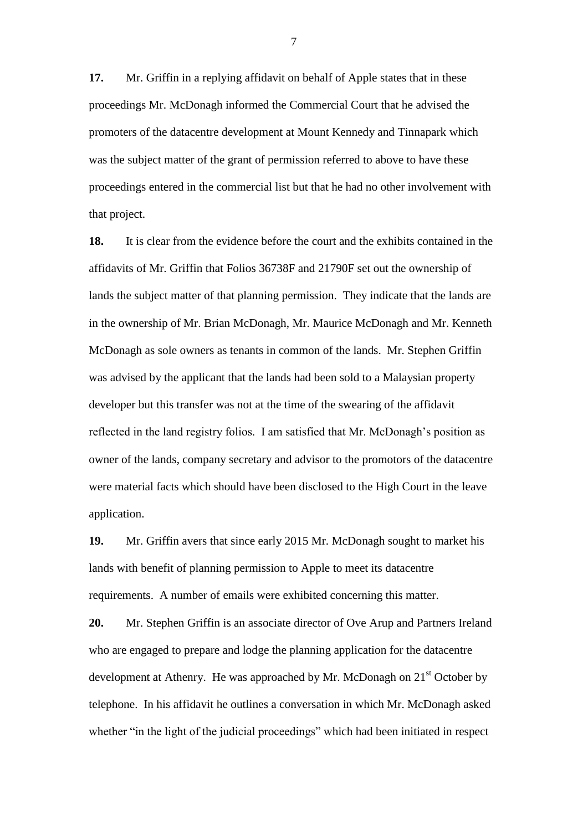**17.** Mr. Griffin in a replying affidavit on behalf of Apple states that in these proceedings Mr. McDonagh informed the Commercial Court that he advised the promoters of the datacentre development at Mount Kennedy and Tinnapark which was the subject matter of the grant of permission referred to above to have these proceedings entered in the commercial list but that he had no other involvement with that project.

**18.** It is clear from the evidence before the court and the exhibits contained in the affidavits of Mr. Griffin that Folios 36738F and 21790F set out the ownership of lands the subject matter of that planning permission. They indicate that the lands are in the ownership of Mr. Brian McDonagh, Mr. Maurice McDonagh and Mr. Kenneth McDonagh as sole owners as tenants in common of the lands. Mr. Stephen Griffin was advised by the applicant that the lands had been sold to a Malaysian property developer but this transfer was not at the time of the swearing of the affidavit reflected in the land registry folios. I am satisfied that Mr. McDonagh's position as owner of the lands, company secretary and advisor to the promotors of the datacentre were material facts which should have been disclosed to the High Court in the leave application.

**19.** Mr. Griffin avers that since early 2015 Mr. McDonagh sought to market his lands with benefit of planning permission to Apple to meet its datacentre requirements. A number of emails were exhibited concerning this matter.

**20.** Mr. Stephen Griffin is an associate director of Ove Arup and Partners Ireland who are engaged to prepare and lodge the planning application for the datacentre development at Athenry. He was approached by Mr. McDonagh on  $21<sup>st</sup>$  October by telephone. In his affidavit he outlines a conversation in which Mr. McDonagh asked whether "in the light of the judicial proceedings" which had been initiated in respect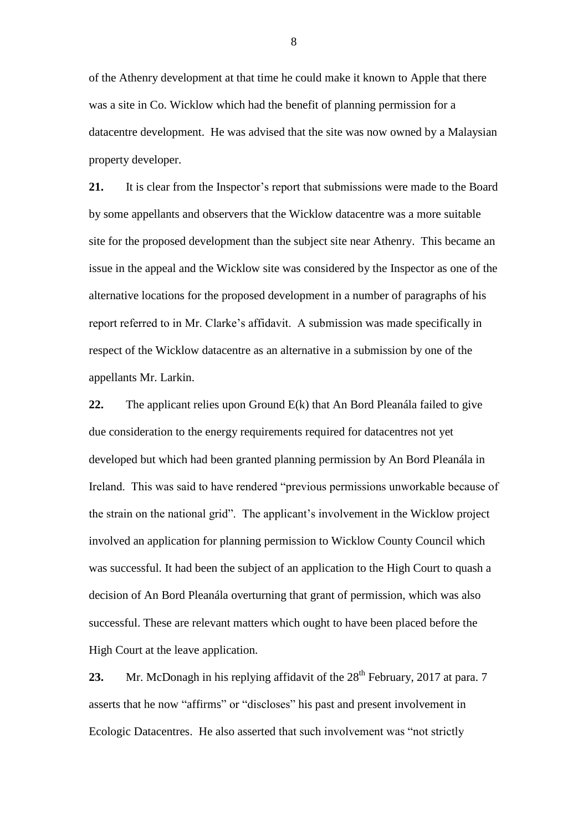of the Athenry development at that time he could make it known to Apple that there was a site in Co. Wicklow which had the benefit of planning permission for a datacentre development. He was advised that the site was now owned by a Malaysian property developer.

**21.** It is clear from the Inspector's report that submissions were made to the Board by some appellants and observers that the Wicklow datacentre was a more suitable site for the proposed development than the subject site near Athenry. This became an issue in the appeal and the Wicklow site was considered by the Inspector as one of the alternative locations for the proposed development in a number of paragraphs of his report referred to in Mr. Clarke's affidavit. A submission was made specifically in respect of the Wicklow datacentre as an alternative in a submission by one of the appellants Mr. Larkin.

**22.** The applicant relies upon Ground E(k) that An Bord Pleanála failed to give due consideration to the energy requirements required for datacentres not yet developed but which had been granted planning permission by An Bord Pleanála in Ireland. This was said to have rendered "previous permissions unworkable because of the strain on the national grid". The applicant's involvement in the Wicklow project involved an application for planning permission to Wicklow County Council which was successful. It had been the subject of an application to the High Court to quash a decision of An Bord Pleanála overturning that grant of permission, which was also successful. These are relevant matters which ought to have been placed before the High Court at the leave application.

**23.** Mr. McDonagh in his replying affidavit of the 28<sup>th</sup> February, 2017 at para. 7 asserts that he now "affirms" or "discloses" his past and present involvement in Ecologic Datacentres. He also asserted that such involvement was "not strictly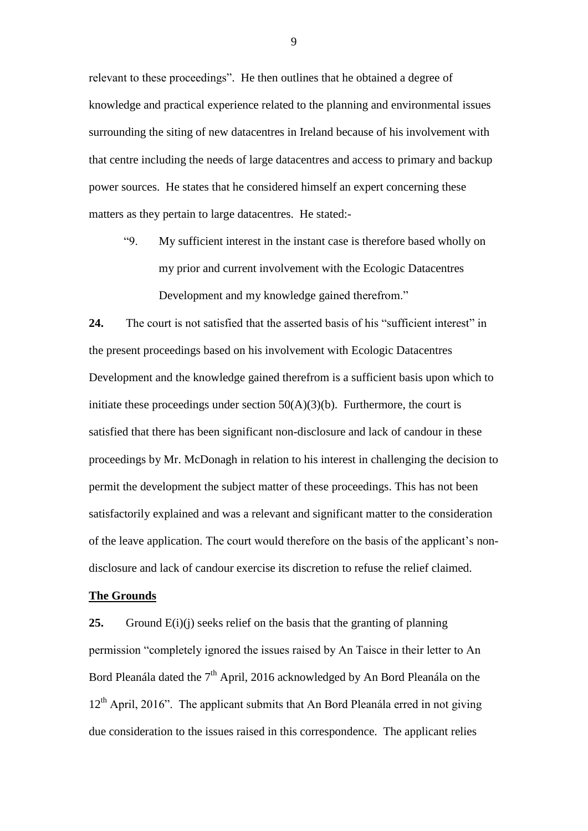relevant to these proceedings". He then outlines that he obtained a degree of knowledge and practical experience related to the planning and environmental issues surrounding the siting of new datacentres in Ireland because of his involvement with that centre including the needs of large datacentres and access to primary and backup power sources. He states that he considered himself an expert concerning these matters as they pertain to large datacentres. He stated:-

"9. My sufficient interest in the instant case is therefore based wholly on my prior and current involvement with the Ecologic Datacentres Development and my knowledge gained therefrom."

**24.** The court is not satisfied that the asserted basis of his "sufficient interest" in the present proceedings based on his involvement with Ecologic Datacentres Development and the knowledge gained therefrom is a sufficient basis upon which to initiate these proceedings under section  $50(A)(3)(b)$ . Furthermore, the court is satisfied that there has been significant non-disclosure and lack of candour in these proceedings by Mr. McDonagh in relation to his interest in challenging the decision to permit the development the subject matter of these proceedings. This has not been satisfactorily explained and was a relevant and significant matter to the consideration of the leave application. The court would therefore on the basis of the applicant's nondisclosure and lack of candour exercise its discretion to refuse the relief claimed.

#### **The Grounds**

**25.** Ground E(i)(j) seeks relief on the basis that the granting of planning permission "completely ignored the issues raised by An Taisce in their letter to An Bord Pleanála dated the  $7<sup>th</sup>$  April, 2016 acknowledged by An Bord Pleanála on the  $12<sup>th</sup>$  April, 2016". The applicant submits that An Bord Pleanála erred in not giving due consideration to the issues raised in this correspondence. The applicant relies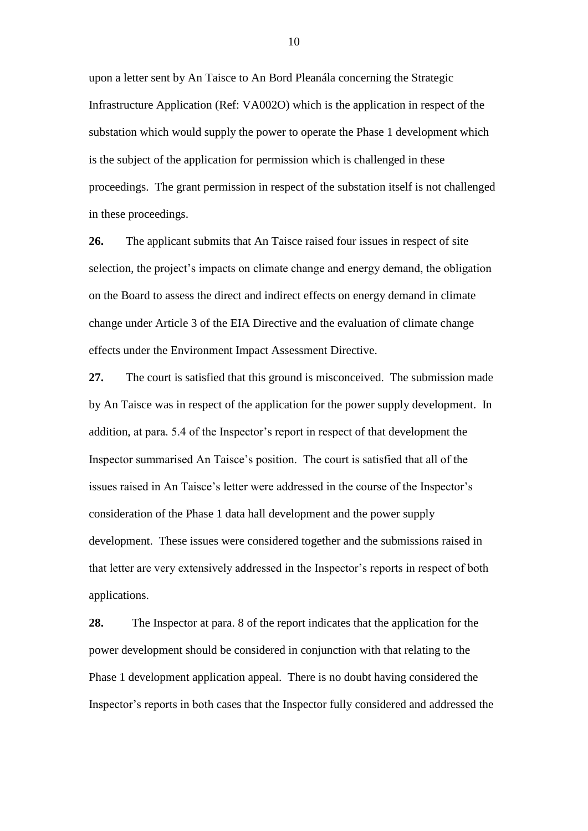upon a letter sent by An Taisce to An Bord Pleanála concerning the Strategic Infrastructure Application (Ref: VA002O) which is the application in respect of the substation which would supply the power to operate the Phase 1 development which is the subject of the application for permission which is challenged in these proceedings. The grant permission in respect of the substation itself is not challenged in these proceedings.

**26.** The applicant submits that An Taisce raised four issues in respect of site selection, the project's impacts on climate change and energy demand, the obligation on the Board to assess the direct and indirect effects on energy demand in climate change under Article 3 of the EIA Directive and the evaluation of climate change effects under the Environment Impact Assessment Directive.

**27.** The court is satisfied that this ground is misconceived. The submission made by An Taisce was in respect of the application for the power supply development. In addition, at para. 5.4 of the Inspector's report in respect of that development the Inspector summarised An Taisce's position. The court is satisfied that all of the issues raised in An Taisce's letter were addressed in the course of the Inspector's consideration of the Phase 1 data hall development and the power supply development. These issues were considered together and the submissions raised in that letter are very extensively addressed in the Inspector's reports in respect of both applications.

**28.** The Inspector at para. 8 of the report indicates that the application for the power development should be considered in conjunction with that relating to the Phase 1 development application appeal. There is no doubt having considered the Inspector's reports in both cases that the Inspector fully considered and addressed the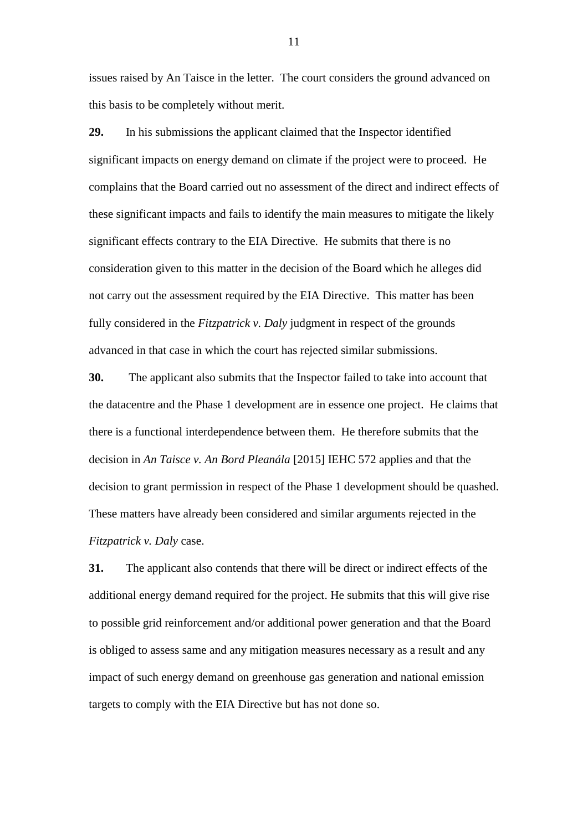issues raised by An Taisce in the letter. The court considers the ground advanced on this basis to be completely without merit.

**29.** In his submissions the applicant claimed that the Inspector identified significant impacts on energy demand on climate if the project were to proceed. He complains that the Board carried out no assessment of the direct and indirect effects of these significant impacts and fails to identify the main measures to mitigate the likely significant effects contrary to the EIA Directive. He submits that there is no consideration given to this matter in the decision of the Board which he alleges did not carry out the assessment required by the EIA Directive. This matter has been fully considered in the *Fitzpatrick v. Daly* judgment in respect of the grounds advanced in that case in which the court has rejected similar submissions.

**30.** The applicant also submits that the Inspector failed to take into account that the datacentre and the Phase 1 development are in essence one project. He claims that there is a functional interdependence between them. He therefore submits that the decision in *An Taisce v. An Bord Pleanála* [2015] IEHC 572 applies and that the decision to grant permission in respect of the Phase 1 development should be quashed. These matters have already been considered and similar arguments rejected in the *Fitzpatrick v. Daly* case.

**31.** The applicant also contends that there will be direct or indirect effects of the additional energy demand required for the project. He submits that this will give rise to possible grid reinforcement and/or additional power generation and that the Board is obliged to assess same and any mitigation measures necessary as a result and any impact of such energy demand on greenhouse gas generation and national emission targets to comply with the EIA Directive but has not done so.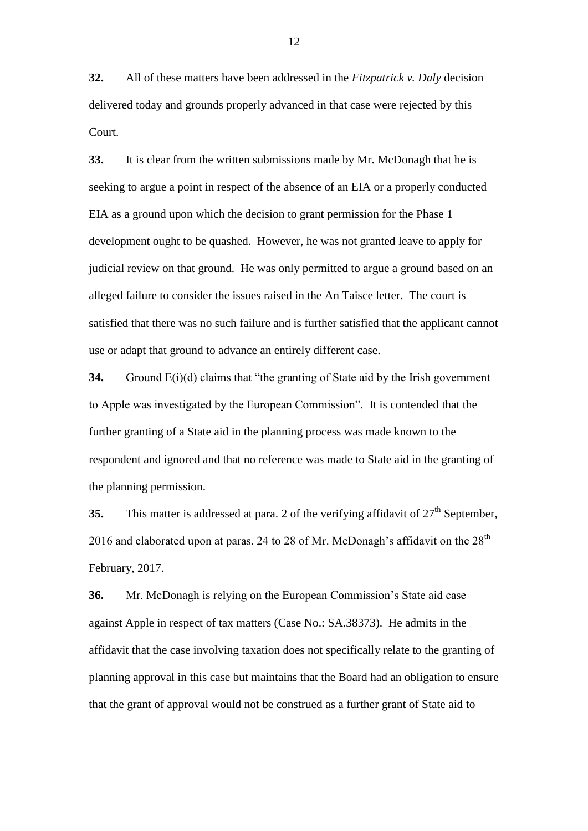**32.** All of these matters have been addressed in the *Fitzpatrick v. Daly* decision delivered today and grounds properly advanced in that case were rejected by this Court.

**33.** It is clear from the written submissions made by Mr. McDonagh that he is seeking to argue a point in respect of the absence of an EIA or a properly conducted EIA as a ground upon which the decision to grant permission for the Phase 1 development ought to be quashed. However, he was not granted leave to apply for judicial review on that ground. He was only permitted to argue a ground based on an alleged failure to consider the issues raised in the An Taisce letter. The court is satisfied that there was no such failure and is further satisfied that the applicant cannot use or adapt that ground to advance an entirely different case.

**34.** Ground E(i)(d) claims that "the granting of State aid by the Irish government to Apple was investigated by the European Commission". It is contended that the further granting of a State aid in the planning process was made known to the respondent and ignored and that no reference was made to State aid in the granting of the planning permission.

**35.** This matter is addressed at para. 2 of the verifying affidavit of  $27<sup>th</sup>$  September, 2016 and elaborated upon at paras. 24 to 28 of Mr. McDonagh's affidavit on the  $28<sup>th</sup>$ February, 2017.

**36.** Mr. McDonagh is relying on the European Commission's State aid case against Apple in respect of tax matters (Case No.: SA.38373). He admits in the affidavit that the case involving taxation does not specifically relate to the granting of planning approval in this case but maintains that the Board had an obligation to ensure that the grant of approval would not be construed as a further grant of State aid to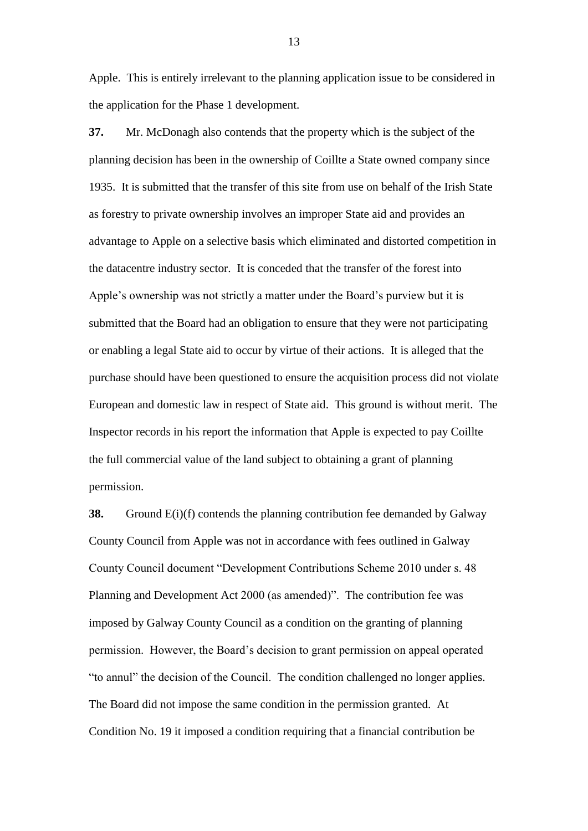Apple. This is entirely irrelevant to the planning application issue to be considered in the application for the Phase 1 development.

**37.** Mr. McDonagh also contends that the property which is the subject of the planning decision has been in the ownership of Coillte a State owned company since 1935. It is submitted that the transfer of this site from use on behalf of the Irish State as forestry to private ownership involves an improper State aid and provides an advantage to Apple on a selective basis which eliminated and distorted competition in the datacentre industry sector. It is conceded that the transfer of the forest into Apple's ownership was not strictly a matter under the Board's purview but it is submitted that the Board had an obligation to ensure that they were not participating or enabling a legal State aid to occur by virtue of their actions. It is alleged that the purchase should have been questioned to ensure the acquisition process did not violate European and domestic law in respect of State aid. This ground is without merit. The Inspector records in his report the information that Apple is expected to pay Coillte the full commercial value of the land subject to obtaining a grant of planning permission.

**38.** Ground E(i)(f) contends the planning contribution fee demanded by Galway County Council from Apple was not in accordance with fees outlined in Galway County Council document "Development Contributions Scheme 2010 under s. 48 Planning and Development Act 2000 (as amended)". The contribution fee was imposed by Galway County Council as a condition on the granting of planning permission. However, the Board's decision to grant permission on appeal operated "to annul" the decision of the Council. The condition challenged no longer applies. The Board did not impose the same condition in the permission granted. At Condition No. 19 it imposed a condition requiring that a financial contribution be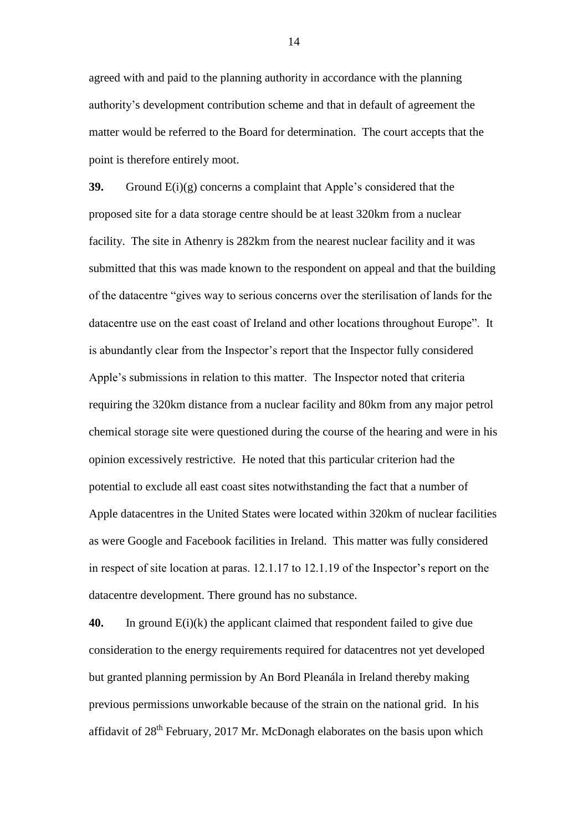agreed with and paid to the planning authority in accordance with the planning authority's development contribution scheme and that in default of agreement the matter would be referred to the Board for determination. The court accepts that the point is therefore entirely moot.

**39.** Ground E(i)(g) concerns a complaint that Apple's considered that the proposed site for a data storage centre should be at least 320km from a nuclear facility. The site in Athenry is 282km from the nearest nuclear facility and it was submitted that this was made known to the respondent on appeal and that the building of the datacentre "gives way to serious concerns over the sterilisation of lands for the datacentre use on the east coast of Ireland and other locations throughout Europe". It is abundantly clear from the Inspector's report that the Inspector fully considered Apple's submissions in relation to this matter. The Inspector noted that criteria requiring the 320km distance from a nuclear facility and 80km from any major petrol chemical storage site were questioned during the course of the hearing and were in his opinion excessively restrictive. He noted that this particular criterion had the potential to exclude all east coast sites notwithstanding the fact that a number of Apple datacentres in the United States were located within 320km of nuclear facilities as were Google and Facebook facilities in Ireland. This matter was fully considered in respect of site location at paras. 12.1.17 to 12.1.19 of the Inspector's report on the datacentre development. There ground has no substance.

**40.** In ground E(i)(k) the applicant claimed that respondent failed to give due consideration to the energy requirements required for datacentres not yet developed but granted planning permission by An Bord Pleanála in Ireland thereby making previous permissions unworkable because of the strain on the national grid. In his affidavit of  $28<sup>th</sup>$  February, 2017 Mr. McDonagh elaborates on the basis upon which